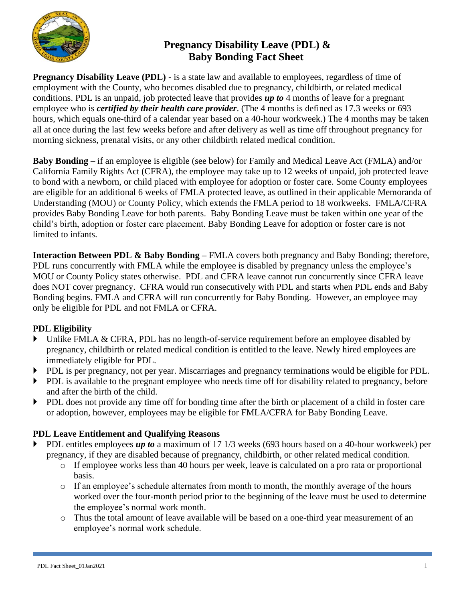

# **Pregnancy Disability Leave (PDL) & Baby Bonding Fact Sheet**

**Pregnancy Disability Leave (PDL) -** is a state law and available to employees, regardless of time of employment with the County, who becomes disabled due to pregnancy, childbirth, or related medical conditions. PDL is an unpaid, job protected leave that provides *up to* 4 months of leave for a pregnant employee who is *certified by their health care provider*. (The 4 months is defined as 17.3 weeks or 693 hours, which equals one-third of a calendar year based on a 40-hour workweek.) The 4 months may be taken all at once during the last few weeks before and after delivery as well as time off throughout pregnancy for morning sickness, prenatal visits, or any other childbirth related medical condition.

**Baby Bonding** – if an employee is eligible (see below) for Family and Medical Leave Act (FMLA) and/or California Family Rights Act (CFRA), the employee may take up to 12 weeks of unpaid, job protected leave to bond with a newborn, or child placed with employee for adoption or foster care. Some County employees are eligible for an additional 6 weeks of FMLA protected leave, as outlined in their applicable Memoranda of Understanding (MOU) or County Policy, which extends the FMLA period to 18 workweeks. FMLA/CFRA provides Baby Bonding Leave for both parents. Baby Bonding Leave must be taken within one year of the child's birth, adoption or foster care placement. Baby Bonding Leave for adoption or foster care is not limited to infants.

**Interaction Between PDL & Baby Bonding –** FMLA covers both pregnancy and Baby Bonding; therefore, PDL runs concurrently with FMLA while the employee is disabled by pregnancy unless the employee's MOU or County Policy states otherwise. PDL and CFRA leave cannot run concurrently since CFRA leave does NOT cover pregnancy. CFRA would run consecutively with PDL and starts when PDL ends and Baby Bonding begins. FMLA and CFRA will run concurrently for Baby Bonding. However, an employee may only be eligible for PDL and not FMLA or CFRA.

## **PDL Eligibility**

- Inlike FMLA & CFRA, PDL has no length-of-service requirement before an employee disabled by pregnancy, childbirth or related medical condition is entitled to the leave. Newly hired employees are immediately eligible for PDL.
- PDL is per pregnancy, not per year. Miscarriages and pregnancy terminations would be eligible for PDL.
- PDL is available to the pregnant employee who needs time off for disability related to pregnancy, before and after the birth of the child.
- PDL does not provide any time off for bonding time after the birth or placement of a child in foster care or adoption, however, employees may be eligible for FMLA/CFRA for Baby Bonding Leave.

## **PDL Leave Entitlement and Qualifying Reasons**

- PDL entitles employees *up to* a maximum of 17 1/3 weeks (693 hours based on a 40-hour workweek) per pregnancy, if they are disabled because of pregnancy, childbirth, or other related medical condition.
	- o If employee works less than 40 hours per week, leave is calculated on a pro rata or proportional basis.
	- o If an employee's schedule alternates from month to month, the monthly average of the hours worked over the four-month period prior to the beginning of the leave must be used to determine the employee's normal work month.
	- o Thus the total amount of leave available will be based on a one-third year measurement of an employee's normal work schedule.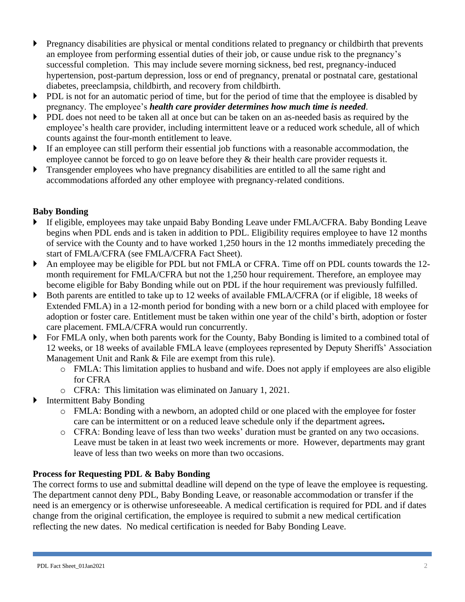- **Pregnancy disabilities are physical or mental conditions related to pregnancy or childbirth that prevents** an employee from performing essential duties of their job, or cause undue risk to the pregnancy's successful completion. This may include severe morning sickness, bed rest, pregnancy-induced hypertension, post-partum depression, loss or end of pregnancy, prenatal or postnatal care, gestational diabetes, preeclampsia, childbirth, and recovery from childbirth.
- PDL is not for an automatic period of time, but for the period of time that the employee is disabled by pregnancy. The employee's *health care provider determines how much time is needed*.
- PDL does not need to be taken all at once but can be taken on an as-needed basis as required by the employee's health care provider, including intermittent leave or a reduced work schedule, all of which counts against the four-month entitlement to leave.
- If an employee can still perform their essential job functions with a reasonable accommodation, the employee cannot be forced to go on leave before they  $\&$  their health care provider requests it.
- **Transgender employees who have pregnancy disabilities are entitled to all the same right and** accommodations afforded any other employee with pregnancy-related conditions.

### **Baby Bonding**

- If eligible, employees may take unpaid Baby Bonding Leave under FMLA/CFRA. Baby Bonding Leave begins when PDL ends and is taken in addition to PDL. Eligibility requires employee to have 12 months of service with the County and to have worked 1,250 hours in the 12 months immediately preceding the start of FMLA/CFRA (see FMLA/CFRA Fact Sheet).
- An employee may be eligible for PDL but not FMLA or CFRA. Time off on PDL counts towards the 12 month requirement for FMLA/CFRA but not the 1,250 hour requirement. Therefore, an employee may become eligible for Baby Bonding while out on PDL if the hour requirement was previously fulfilled.
- Both parents are entitled to take up to 12 weeks of available FMLA/CFRA (or if eligible, 18 weeks of Extended FMLA) in a 12-month period for bonding with a new born or a child placed with employee for adoption or foster care. Entitlement must be taken within one year of the child's birth, adoption or foster care placement. FMLA/CFRA would run concurrently.
- For FMLA only, when both parents work for the County, Baby Bonding is limited to a combined total of 12 weeks, or 18 weeks of available FMLA leave (employees represented by Deputy Sheriffs' Association Management Unit and Rank & File are exempt from this rule).
	- o FMLA: This limitation applies to husband and wife. Does not apply if employees are also eligible for CFRA
	- o CFRA: This limitation was eliminated on January 1, 2021.
- **Intermittent Baby Bonding** 
	- o FMLA: Bonding with a newborn, an adopted child or one placed with the employee for foster care can be intermittent or on a reduced leave schedule only if the department agrees**.**
	- o CFRA: Bonding leave of less than two weeks' duration must be granted on any two occasions. Leave must be taken in at least two week increments or more. However, departments may grant leave of less than two weeks on more than two occasions.

#### **Process for Requesting PDL & Baby Bonding**

The correct forms to use and submittal deadline will depend on the type of leave the employee is requesting. The department cannot deny PDL, Baby Bonding Leave, or reasonable accommodation or transfer if the need is an emergency or is otherwise unforeseeable. A medical certification is required for PDL and if dates change from the original certification, the employee is required to submit a new medical certification reflecting the new dates. No medical certification is needed for Baby Bonding Leave.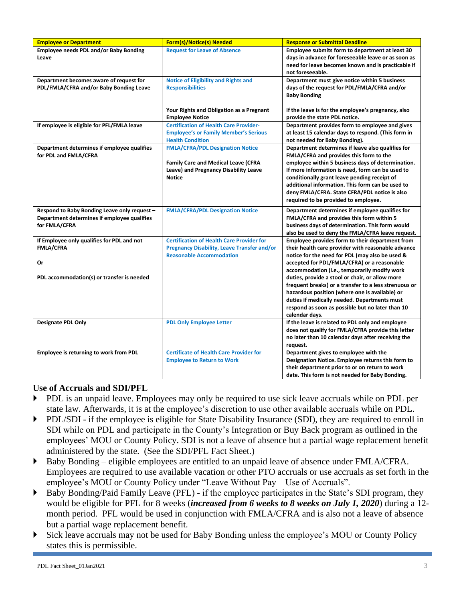| <b>Employee or Department</b>                | Form(s)/Notice(s) Needed                         | <b>Response or Submittal Deadline</b>                                                       |
|----------------------------------------------|--------------------------------------------------|---------------------------------------------------------------------------------------------|
| Employee needs PDL and/or Baby Bonding       | <b>Request for Leave of Absence</b>              | Employee submits form to department at least 30                                             |
| Leave                                        |                                                  | days in advance for foreseeable leave or as soon as                                         |
|                                              |                                                  | need for leave becomes known and is practicable if                                          |
|                                              |                                                  | not foreseeable.                                                                            |
| Department becomes aware of request for      | <b>Notice of Eligibility and Rights and</b>      | Department must give notice within 5 business                                               |
| PDL/FMLA/CFRA and/or Baby Bonding Leave      | <b>Responsibilities</b>                          | days of the request for PDL/FMLA/CFRA and/or                                                |
|                                              |                                                  | <b>Baby Bonding</b>                                                                         |
|                                              | Your Rights and Obligation as a Pregnant         | If the leave is for the employee's pregnancy, also                                          |
|                                              | <b>Employee Notice</b>                           | provide the state PDL notice.                                                               |
| If employee is eligible for PFL/FMLA leave   | <b>Certification of Health Care Provider-</b>    | Department provides form to employee and gives                                              |
|                                              | <b>Employee's or Family Member's Serious</b>     | at least 15 calendar days to respond. (This form in                                         |
|                                              | <b>Health Condition</b>                          | not needed for Baby Bonding).                                                               |
| Department determines if employee qualifies  | <b>FMLA/CFRA/PDL Designation Notice</b>          | Department determines if leave also qualifies for                                           |
| for PDL and FMLA/CFRA                        |                                                  | FMLA/CFRA and provides this form to the                                                     |
|                                              | <b>Family Care and Medical Leave (CFRA</b>       | employee within 5 business days of determination.                                           |
|                                              | Leave) and Pregnancy Disability Leave            | If more information is need, form can be used to                                            |
|                                              | <b>Notice</b>                                    | conditionally grant leave pending receipt of                                                |
|                                              |                                                  | additional information. This form can be used to                                            |
|                                              |                                                  | deny FMLA/CFRA. State CFRA/PDL notice is also                                               |
|                                              |                                                  | required to be provided to employee.                                                        |
| Respond to Baby Bonding Leave only request - | <b>FMLA/CFRA/PDL Designation Notice</b>          | Department determines if employee qualifies for                                             |
| Department determines if employee qualifies  |                                                  | FMLA/CFRA and provides this form within 5                                                   |
| for FMLA/CFRA                                |                                                  | business days of determination. This form would                                             |
|                                              |                                                  | also be used to deny the FMLA/CFRA leave request.                                           |
| If Employee only qualifies for PDL and not   | <b>Certification of Health Care Provider for</b> | Employee provides form to their department from                                             |
| <b>FMLA/CFRA</b>                             | Pregnancy Disability, Leave Transfer and/or      | their health care provider with reasonable advance                                          |
| Or                                           | <b>Reasonable Accommodation</b>                  | notice for the need for PDL (may also be used &                                             |
|                                              |                                                  | accepted for PDL/FMLA/CFRA) or a reasonable<br>accommodation (i.e., temporarily modify work |
| PDL accommodation(s) or transfer is needed   |                                                  | duties, provide a stool or chair, or allow more                                             |
|                                              |                                                  | frequent breaks) or a transfer to a less strenuous or                                       |
|                                              |                                                  | hazardous position (where one is available) or                                              |
|                                              |                                                  | duties if medically needed. Departments must                                                |
|                                              |                                                  | respond as soon as possible but no later than 10                                            |
|                                              |                                                  | calendar days.                                                                              |
| <b>Designate PDL Only</b>                    | <b>PDL Only Employee Letter</b>                  | If the leave is related to PDL only and employee                                            |
|                                              |                                                  | does not qualify for FMLA/CFRA provide this letter                                          |
|                                              |                                                  | no later than 10 calendar days after receiving the                                          |
|                                              |                                                  | request.                                                                                    |
| Employee is returning to work from PDL       | <b>Certificate of Health Care Provider for</b>   | Department gives to employee with the                                                       |
|                                              | <b>Employee to Return to Work</b>                | Designation Notice. Employee returns this form to                                           |
|                                              |                                                  | their department prior to or on return to work                                              |
|                                              |                                                  | date. This form is not needed for Baby Bonding.                                             |

## **Use of Accruals and SDI/PFL**

- PDL is an unpaid leave. Employees may only be required to use sick leave accruals while on PDL per state law. Afterwards, it is at the employee's discretion to use other available accruals while on PDL.
- PDL/SDI if the employee is eligible for State Disability Insurance (SDI), they are required to enroll in SDI while on PDL and participate in the County's Integration or Buy Back program as outlined in the employees' MOU or County Policy. SDI is not a leave of absence but a partial wage replacement benefit administered by the state. (See the SDI/PFL Fact Sheet.)
- Baby Bonding eligible employees are entitled to an unpaid leave of absence under FMLA/CFRA. Employees are required to use available vacation or other PTO accruals or use accruals as set forth in the employee's MOU or County Policy under "Leave Without Pay – Use of Accruals".
- Baby Bonding/Paid Family Leave (PFL) if the employee participates in the State's SDI program, they would be eligible for PFL for 8 weeks (*increased from 6 weeks to 8 weeks on July 1, 2020*) during a 12 month period. PFL would be used in conjunction with FMLA/CFRA and is also not a leave of absence but a partial wage replacement benefit.
- Sick leave accruals may not be used for Baby Bonding unless the employee's MOU or County Policy states this is permissible.